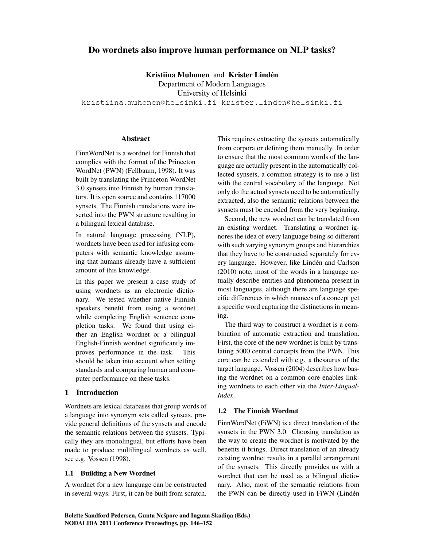# Do wordnets also improve human performance on NLP tasks?

Kristiina Muhonen and Krister Lindén

Department of Modern Languages

University of Helsinki

kristiina.muhonen@helsinki.fi krister.linden@helsinki.fi

# **Abstract**

FinnWordNet is a wordnet for Finnish that complies with the format of the Princeton WordNet (PWN) (Fellbaum, 1998). It was built by translating the Princeton WordNet 3.0 synsets into Finnish by human translators. It is open source and contains 117000 synsets. The Finnish translations were inserted into the PWN structure resulting in a bilingual lexical database.

In natural language processing (NLP), wordnets have been used for infusing computers with semantic knowledge assuming that humans already have a sufficient amount of this knowledge.

In this paper we present a case study of using wordnets as an electronic dictionary. We tested whether native Finnish speakers benefit from using a wordnet while completing English sentence completion tasks. We found that using either an English wordnet or a bilingual English-Finnish wordnet significantly improves performance in the task. This should be taken into account when setting standards and comparing human and computer performance on these tasks.

# 1 Introduction

Wordnets are lexical databases that group words of a language into synonym sets called synsets, provide general definitions of the synsets and encode the semantic relations between the synsets. Typically they are monolingual, but efforts have been made to produce multilingual wordnets as well, see e.g. Vossen (1998).

### 1.1 Building a New Wordnet

A wordnet for a new language can be constructed in several ways. First, it can be built from scratch. This requires extracting the synsets automatically from corpora or defining them manually. In order to ensure that the most common words of the language are actually present in the automatically collected synsets, a common strategy is to use a list with the central vocabulary of the language. Not only do the actual synsets need to be automatically extracted, also the semantic relations between the synsets must be encoded from the very beginning.

Second, the new wordnet can be translated from an existing wordnet. Translating a wordnet ignores the idea of every language being so different with such varying synonym groups and hierarchies that they have to be constructed separately for every language. However, like Linden and Carlson ´ (2010) note, most of the words in a language actually describe entities and phenomena present in most languages, although there are language specific differences in which nuances of a concept get a specific word capturing the distinctions in meaning.

The third way to construct a wordnet is a combination of automatic extraction and translation. First, the core of the new wordnet is built by translating 5000 central concepts from the PWN. This core can be extended with e.g. a thesaurus of the target language. Vossen (2004) describes how basing the wordnet on a common core enables linking wordnets to each other via the *Inter-Lingual-Index*.

### 1.2 The Finnish Wordnet

FinnWordNet (FiWN) is a direct translation of the synsets in the PWN 3.0. Choosing translation as the way to create the wordnet is motivated by the benefits it brings. Direct translation of an already existing wordnet results in a parallel arrangement of the synsets. This directly provides us with a wordnet that can be used as a bilingual dictionary. Also, most of the semantic relations from the PWN can be directly used in FiWN (Lindén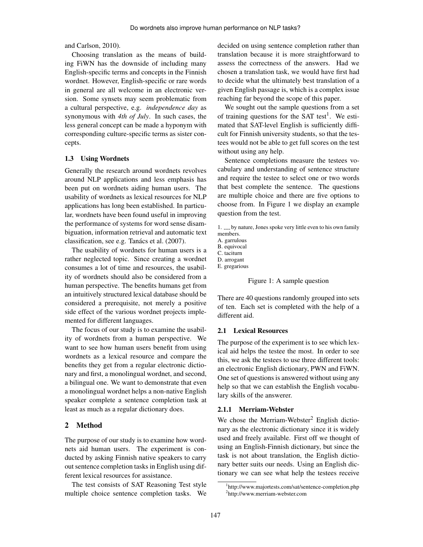and Carlson, 2010).

Choosing translation as the means of building FiWN has the downside of including many English-specific terms and concepts in the Finnish wordnet. However, English-specific or rare words in general are all welcome in an electronic version. Some synsets may seem problematic from a cultural perspective, e.g. *independence day* as synonymous with *4th of July*. In such cases, the less general concept can be made a hyponym with corresponding culture-specific terms as sister concepts.

### 1.3 Using Wordnets

Generally the research around wordnets revolves around NLP applications and less emphasis has been put on wordnets aiding human users. The usability of wordnets as lexical resources for NLP applications has long been established. In particular, wordnets have been found useful in improving the performance of systems for word sense disambiguation, information retrieval and automatic text classification, see e.g. Tanács et al. (2007).

The usability of wordnets for human users is a rather neglected topic. Since creating a wordnet consumes a lot of time and resources, the usability of wordnets should also be considered from a human perspective. The benefits humans get from an intuitively structured lexical database should be considered a prerequisite, not merely a positive side effect of the various wordnet projects implemented for different languages.

The focus of our study is to examine the usability of wordnets from a human perspective. We want to see how human users benefit from using wordnets as a lexical resource and compare the benefits they get from a regular electronic dictionary and first, a monolingual wordnet, and second, a bilingual one. We want to demonstrate that even a monolingual wordnet helps a non-native English speaker complete a sentence completion task at least as much as a regular dictionary does.

# 2 Method

The purpose of our study is to examine how wordnets aid human users. The experiment is conducted by asking Finnish native speakers to carry out sentence completion tasks in English using different lexical resources for assistance.

The test consists of SAT Reasoning Test style multiple choice sentence completion tasks. We decided on using sentence completion rather than translation because it is more straightforward to assess the correctness of the answers. Had we chosen a translation task, we would have first had to decide what the ultimately best translation of a given English passage is, which is a complex issue reaching far beyond the scope of this paper.

We sought out the sample questions from a set of training questions for the SAT test<sup>1</sup>. We estimated that SAT-level English is sufficiently difficult for Finnish university students, so that the testees would not be able to get full scores on the test without using any help.

Sentence completions measure the testees vocabulary and understanding of sentence structure and require the testee to select one or two words that best complete the sentence. The questions are multiple choice and there are five options to choose from. In Figure 1 we display an example question from the test.

1.  $\ldots$  by nature, Jones spoke very little even to his own family members.

- A. garrulous
- B. equivocal
- C. taciturn

D. arrogant

E. gregarious



There are 40 questions randomly grouped into sets of ten. Each set is completed with the help of a different aid.

# 2.1 Lexical Resources

The purpose of the experiment is to see which lexical aid helps the testee the most. In order to see this, we ask the testees to use three different tools: an electronic English dictionary, PWN and FiWN. One set of questions is answered without using any help so that we can establish the English vocabulary skills of the answerer.

### 2.1.1 Merriam-Webster

We chose the Merriam-Webster<sup>2</sup> English dictionary as the electronic dictionary since it is widely used and freely available. First off we thought of using an English-Finnish dictionary, but since the task is not about translation, the English dictionary better suits our needs. Using an English dictionary we can see what help the testees receive

<sup>1</sup> http://www.majortests.com/sat/sentence-completion.php 2 http://www.merriam-webster.com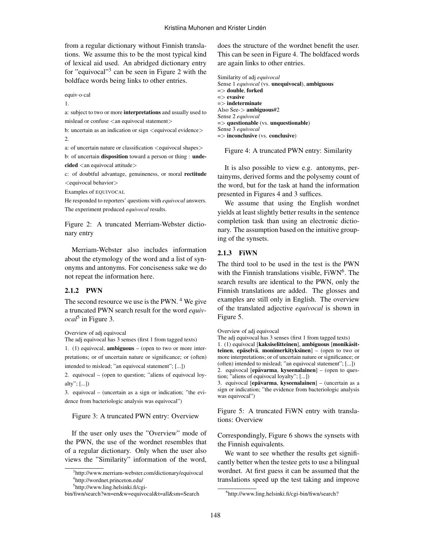from a regular dictionary without Finnish translations. We assume this to be the most typical kind of lexical aid used. An abridged dictionary entry for "equivocal"<sup>3</sup> can be seen in Figure 2 with the boldface words being links to other entries.

equiv·o·cal

1.

a: subject to two or more interpretations and usually used to mislead or confuse <an equivocal statement>

b: uncertain as an indication or sign  $\leq$  equivocal evidence $>$ 2.

a: of uncertain nature or classification <equivocal shapes>

b: of uncertain disposition toward a person or thing : unde $cided <$ an equivocal attitude $>$ 

c: of doubtful advantage, genuineness, or moral rectitude <equivocal behavior>

Examples of EQUIVOCAL

He responded to reporters' questions with *equivocal* answers. The experiment produced *equivocal* results.

Figure 2: A truncated Merriam-Webster dictionary entry

Merriam-Webster also includes information about the etymology of the word and a list of synonyms and antonyms. For conciseness sake we do not repeat the information here.

# 2.1.2 PWN

The second resource we use is the PWN.  $4$  We give a truncated PWN search result for the word *equivocal*<sup>5</sup> in Figure 3.

Overview of adj equivocal

The adj equivocal has 3 senses (first 1 from tagged texts)

1. (1) equivocal, ambiguous – (open to two or more interpretations; or of uncertain nature or significance; or (often) intended to mislead; "an equivocal statement"; [...])

2. equivocal – (open to question; "aliens of equivocal loyalty"; [...])

3. equivocal – (uncertain as a sign or indication; "the evidence from bacteriologic analysis was equivocal")

#### Figure 3: A truncated PWN entry: Overview

If the user only uses the "Overview" mode of the PWN, the use of the wordnet resembles that of a regular dictionary. Only when the user also views the "Similarity" information of the word, does the structure of the wordnet benefit the user. This can be seen in Figure 4. The boldfaced words are again links to other entries.

Similarity of adj *equivocal* Sense 1 *equivocal* (vs. unequivocal), ambiguous  $\Rightarrow$  double, forked  $\Rightarrow$  evasive  $\Rightarrow$  indeterminate Also See-> ambiguous#2 Sense 2 *equivocal*  $\Rightarrow$  questionable (vs. unquestionable) Sense 3 *equivocal* => inconclusive (vs. conclusive)

Figure 4: A truncated PWN entry: Similarity

It is also possible to view e.g. antonyms, pertainyms, derived forms and the polysemy count of the word, but for the task at hand the information presented in Figures 4 and 3 suffices.

We assume that using the English wordnet yields at least slightly better results in the sentence completion task than using an electronic dictionary. The assumption based on the intuitive grouping of the synsets.

#### 2.1.3 FiWN

The third tool to be used in the test is the PWN with the Finnish translations visible, FiWN<sup>6</sup>. The search results are identical to the PWN, only the Finnish translations are added. The glosses and examples are still only in English. The overview of the translated adjective *equivocal* is shown in Figure 5.

Overview of adj equivocal

The adj equivocal has 3 senses (first 1 from tagged texts) 1. (1) equivocal [kaksiselitteinen], ambiguous [monikäsitteinen, epäselvä, monimerkityksinen] – (open to two or more interpretations; or of uncertain nature or significance; or (often) intended to mislead; "an equivocal statement"; [...]) 2. equivocal  $[epävarma, kyseenalainen] - (open to ques$ tion; "aliens of equivocal loyalty"; [...])

3. equivocal [epävarma, kyseenalainen] – (uncertain as a sign or indication; "the evidence from bacteriologic analysis was equivocal")

Figure 5: A truncated FiWN entry with translations: Overview

Correspondingly, Figure 6 shows the synsets with the Finnish equivalents.

We want to see whether the results get significantly better when the testee gets to use a bilingual wordnet. At first guess it can be assumed that the translations speed up the test taking and improve

<sup>3</sup> http://www.merriam-webster.com/dictionary/equivocal 4 http://wordnet.princeton.edu/

<sup>5</sup> http://www.ling.helsinki.fi/cgi-

bin/fiwn/search?wn=en&w=equivocal&t=all&sm=Search

<sup>6</sup> http://www.ling.helsinki.fi/cgi-bin/fiwn/search?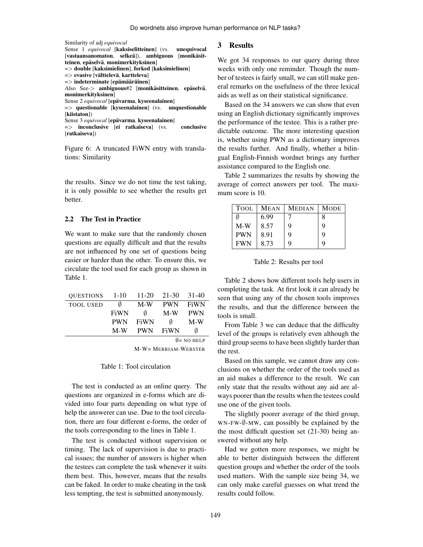```
Similarity of adj equivocal
Sense 1 equivocal [kaksiselitteinen] (vs. unequivocal
[vastaansanomaton, selkeä]), ambiguous [monikäsit-
teinen, epäselvä, monimerkityksinen]
=> double [kaksimielinen], forked [kaksimielinen]
= > evasive [välttelevä, kartteleva]
= > indeterminate [epämääräinen]
Also See-> ambiguous#2 [monikäsitteinen, epäselvä,
monimerkityksinen]
Sense 2 equivocal [epävarma, kyseenalainen]
\Rightarrow questionable [kyseenalainen] (vs. unquestionable
[kiistaton])
Sense 3 equivocal [epävarma, kyseenalainen]
=> inconclusive [ei ratkaiseva] (vs. conclusive
[ratkaiseva])
```
Figure 6: A truncated FiWN entry with translations: Similarity

the results. Since we do not time the test taking, it is only possible to see whether the results get better.

#### 2.2 The Test in Practice

We want to make sure that the randomly chosen questions are equally difficult and that the results are not influenced by one set of questions being easier or harder than the other. To ensure this, we circulate the tool used for each group as shown in Table 1.

|                  |             |            |            | $\emptyset$ = NO HELP |
|------------------|-------------|------------|------------|-----------------------|
|                  | $M-W$       | <b>PWN</b> | FiWN       | Ø                     |
|                  | <b>PWN</b>  | FiWN       | Ø          | $M-W$                 |
|                  | <b>FiWN</b> | Ø          | M-W        | <b>PWN</b>            |
| <b>TOOL USED</b> | Ø           | M-W        | <b>PWN</b> | <b>FiWN</b>           |
| <b>OUESTIONS</b> | $1 - 10$    | $11-20$    | 21-30      | $31-40$               |

M-W= MERRIAM-WEBSTER

#### Table 1: Tool circulation

The test is conducted as an online query. The questions are organized in e-forms which are divided into four parts depending on what type of help the answerer can use. Due to the tool circulation, there are four different e-forms, the order of the tools corresponding to the lines in Table 1.

The test is conducted without supervision or timing. The lack of supervision is due to practical issues; the number of answers is higher when the testees can complete the task whenever it suits them best. This, however, means that the results can be faked. In order to make cheating in the task less tempting, the test is submitted anonymously.

#### 3 Results

We got 34 responses to our query during three weeks with only one reminder. Though the number of testees is fairly small, we can still make general remarks on the usefulness of the three lexical aids as well as on their statistical significance.

Based on the 34 answers we can show that even using an English dictionary significantly improves the performance of the testee. This is a rather predictable outcome. The more interesting question is, whether using PWN as a dictionary improves the results further. And finally, whether a bilingual English-Finnish wordnet brings any further assistance compared to the English one.

Table 2 summarizes the results by showing the average of correct answers per tool. The maximum score is 10.

| <b>TOOL</b> | <b>MEAN</b> | <b>MEDIAN</b> | MODE |
|-------------|-------------|---------------|------|
| M           | 6.99        |               | 8    |
| $M-W$       | 8.57        | 9             | 9    |
| <b>PWN</b>  | 8.91        | 9             | 9    |
| <b>FWN</b>  | 8.73        | 9             | 9    |

Table 2: Results per tool

Table 2 shows how different tools help users in completing the task. At first look it can already be seen that using any of the chosen tools improves the results, and that the difference between the tools is small.

From Table 3 we can deduce that the difficulty level of the groups is relatively even although the third group seems to have been slightly harder than the rest.

Based on this sample, we cannot draw any conclusions on whether the order of the tools used as an aid makes a difference to the result. We can only state that the results without any aid are always poorer than the results when the testees could use one of the given tools.

The slightly poorer average of the third group, WN-FW-∅-MW, can possibly be explained by the the most difficult question set (21-30) being answered without any help.

Had we gotten more responses, we might be able to better distinguish between the different question groups and whether the order of the tools used matters. With the sample size being 34, we can only make careful guesses on what trend the results could follow.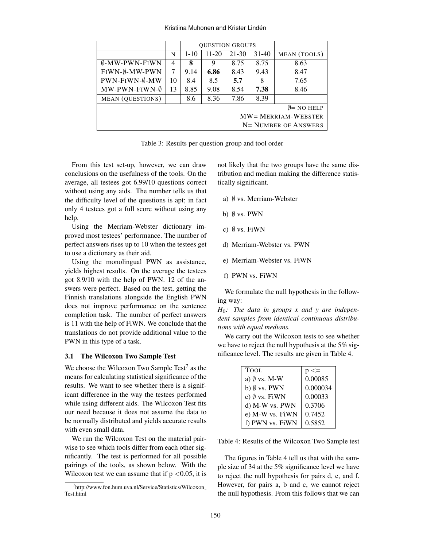|                          |    | <b>OUESTION GROUPS</b> |           |           |           |              |
|--------------------------|----|------------------------|-----------|-----------|-----------|--------------|
|                          | N  | $1 - 10$               | $11 - 20$ | $21 - 30$ | $31 - 40$ | MEAN (TOOLS) |
| $\emptyset$ -MW-PWN-FIWN | 4  | 8                      | 9         | 8.75      | 8.75      | 8.63         |
| FIWN-0-MW-PWN            | 7  | 9.14                   | 6.86      | 8.43      | 9.43      | 8.47         |
| PWN-FIWN-0-MW            | 10 | 8.4                    | 8.5       | 5.7       | 8         | 7.65         |
| $MW-PWN-FIWN-\emptyset$  | 13 | 8.85                   | 9.08      | 8.54      | 7.38      | 8.46         |
| <b>MEAN</b> (QUESTIONS)  |    | 8.6                    | 8.36      | 7.86      | 8.39      |              |
| $\emptyset$ = NO HELP    |    |                        |           |           |           |              |
| $MW = MERRIAM-WEBSTER$   |    |                        |           |           |           |              |
| N= NUMBER OF ANSWERS     |    |                        |           |           |           |              |

Table 3: Results per question group and tool order

From this test set-up, however, we can draw conclusions on the usefulness of the tools. On the average, all testees got 6.99/10 questions correct without using any aids. The number tells us that the difficulty level of the questions is apt; in fact only 4 testees got a full score without using any help.

Using the Merriam-Webster dictionary improved most testees' performance. The number of perfect answers rises up to 10 when the testees get to use a dictionary as their aid.

Using the monolingual PWN as assistance, yields highest results. On the average the testees got 8.9/10 with the help of PWN. 12 of the answers were perfect. Based on the test, getting the Finnish translations alongside the English PWN does not improve performance on the sentence completion task. The number of perfect answers is 11 with the help of FiWN. We conclude that the translations do not provide additional value to the PWN in this type of a task.

#### 3.1 The Wilcoxon Two Sample Test

We choose the Wilcoxon Two Sample Test<sup>7</sup> as the means for calculating statistical significance of the results. We want to see whether there is a significant difference in the way the testees performed while using different aids. The Wilcoxon Test fits our need because it does not assume the data to be normally distributed and yields accurate results with even small data.

We run the Wilcoxon Test on the material pairwise to see which tools differ from each other significantly. The test is performed for all possible pairings of the tools, as shown below. With the Wilcoxon test we can assume that if  $p < 0.05$ , it is not likely that the two groups have the same distribution and median making the difference statistically significant.

- a) ∅ vs. Merriam-Webster
- b)  $\emptyset$  vs. PWN
- c)  $\emptyset$  vs. FiWN
- d) Merriam-Webster vs. PWN
- e) Merriam-Webster vs. FiWN
- f) PWN vs. FiWN

We formulate the null hypothesis in the following way:

*H*0*: The data in groups x and y are independent samples from identical continuous distributions with equal medians.*

We carry out the Wilcoxon tests to see whether we have to reject the null hypothesis at the 5% significance level. The results are given in Table 4.

| <b>TOOL</b>             | $p \leq$ |
|-------------------------|----------|
| a) $\emptyset$ vs. M-W  | 0.00085  |
| b) $\emptyset$ vs. PWN  | 0.000034 |
| c) $\emptyset$ vs. FiWN | 0.00033  |
| d) M-W vs. PWN          | 0.3706   |
| e) M-W vs. FiWN         | 0.7452   |
| f) PWN vs. FiWN         | 0.5852   |

Table 4: Results of the Wilcoxon Two Sample test

The figures in Table 4 tell us that with the sample size of 34 at the 5% significance level we have to reject the null hypothesis for pairs d, e, and f. However, for pairs a, b and c, we cannot reject the null hypothesis. From this follows that we can

<sup>7</sup> http://www.fon.hum.uva.nl/Service/Statistics/Wilcoxon Test.html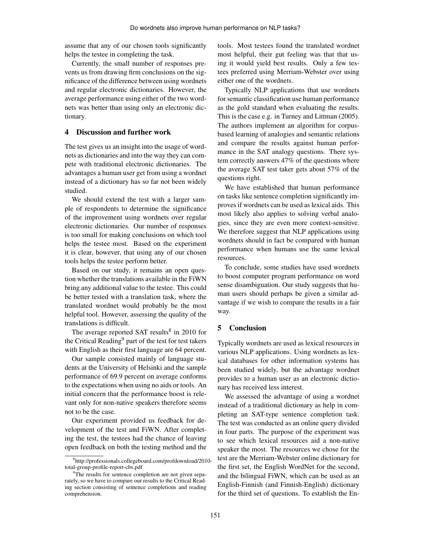assume that any of our chosen tools significantly helps the testee in completing the task.

Currently, the small number of responses prevents us from drawing firm conclusions on the significance of the difference between using wordnets and regular electronic dictionaries. However, the average performance using either of the two wordnets was better than using only an electronic dictionary.

# 4 Discussion and further work

The test gives us an insight into the usage of wordnets as dictionaries and into the way they can compete with traditional electronic dictionaries. The advantages a human user get from using a wordnet instead of a dictionary has so far not been widely studied.

We should extend the test with a larger sample of respondents to determine the significance of the improvement using wordnets over regular electronic dictionaries. Our number of responses is too small for making conclusions on which tool helps the testee most. Based on the experiment it is clear, however, that using any of our chosen tools helps the testee perform better.

Based on our study, it remains an open question whether the translations available in the FiWN bring any additional value to the testee. This could be better tested with a translation task, where the translated wordnet would probably be the most helpful tool. However, assessing the quality of the translations is difficult.

The average reported SAT results<sup>8</sup> in 2010 for the Critical Reading<sup>9</sup> part of the test for test takers with English as their first language are 64 percent.

Our sample consisted mainly of language students at the University of Helsinki and the sample performance of 69.9 percent on average conforms to the expectations when using no aids or tools. An initial concern that the performance boost is relevant only for non-native speakers therefore seems not to be the case.

Our experiment provided us feedback for development of the test and FiWN. After completing the test, the testees had the chance of leaving open feedback on both the testing method and the tools. Most testees found the translated wordnet most helpful, their gut feeling was that that using it would yield best results. Only a few testees preferred using Merriam-Webster over using either one of the wordnets.

Typically NLP applications that use wordnets for semantic classification use human performance as the gold standard when evaluating the results. This is the case e.g. in Turney and Littman (2005). The authors implement an algorithm for corpusbased learning of analogies and semantic relations and compare the results against human performance in the SAT analogy questions. There system correctly answers 47% of the questions where the average SAT test taker gets about 57% of the questions right.

We have established that human performance on tasks like sentence completion significantly improves if wordnets can be used as lexical aids. This most likely also applies to solving verbal analogies, since they are even more context-sensitive. We therefore suggest that NLP applications using wordnets should in fact be compared with human performance when humans use the same lexical resources.

To conclude, some studies have used wordnets to boost computer program performance on word sense disambiguation. Our study suggests that human users should perhaps be given a similar advantage if we wish to compare the results in a fair way.

# 5 Conclusion

Typically wordnets are used as lexical resources in various NLP applications. Using wordnets as lexical databases for other information systems has been studied widely, but the advantage wordnet provides to a human user as an electronic dictionary has received less interest.

We assessed the advantage of using a wordnet instead of a traditional dictionary as help in completing an SAT-type sentence completion task. The test was conducted as an online query divided in four parts. The purpose of the experiment was to see which lexical resources aid a non-native speaker the most. The resources we chose for the test are the Merriam-Webster online dictionary for the first set, the English WordNet for the second, and the bilingual FiWN, which can be used as an English-Finnish (and Finnish-English) dictionary for the third set of questions. To establish the En-

<sup>8</sup> http://professionals.collegeboard.com/profdownload/2010 total-group-profile-report-cbs.pdf

<sup>&</sup>lt;sup>9</sup>The results for sentence completion are not given separately, so we have to compare our results to the Critical Reading section consisting of sentence completions and reading comprehension.